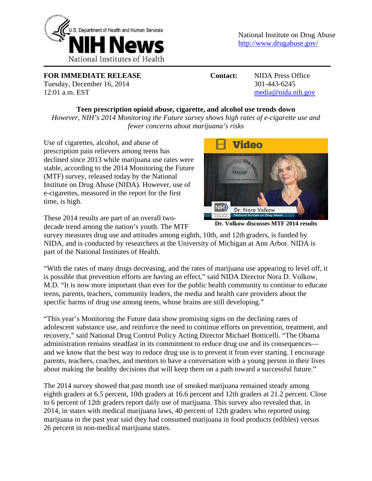

**FOR IMMEDIATE RELEASE Contact:** NIDA Press Office Tuesday, December 16, 2014 301-443-6245 12:01 a.m. EST media@nida.nih.gov

## **Teen prescription opioid abuse, cigarette, and alcohol use trends down**

*However, NIH's 2014 Monitoring the Future survey shows high rates of e-cigarette use and fewer concerns about marijuana's risks*

Use of cigarettes, alcohol, and abuse of prescription pain relievers among teens has declined since 2013 while marijuana use rates were stable, according to the 2014 Monitoring the Future (MTF) survey, released today by the National Institute on Drug Abuse (NIDA). However, use of e-cigarettes, measured in the report for the first time, is high.

These 2014 results are part of an overall twodecade trend among the nation's youth. The MTF



**Dr. Volkow discusses MTF 2014 results** 

survey measures drug use and attitudes among eighth, 10th, and 12th graders, is funded by NIDA, and is conducted by researchers at the University of Michigan at Ann Arbor. NIDA is part of the National Institutes of Health.

"With the rates of many drugs decreasing, and the rates of marijuana use appearing to level off, it is possible that prevention efforts are having an effect," said NIDA Director Nora D. Volkow, M.D. "It is now more important than ever for the public health community to continue to educate teens, parents, teachers, community leaders, the media and health care providers about the specific harms of drug use among teens, whose brains are still developing."

"This year's Monitoring the Future data show promising signs on the declining rates of adolescent substance use, and reinforce the need to continue efforts on prevention, treatment, and recovery," said National Drug Control Policy Acting Director Michael Botticelli. "The Obama administration remains steadfast in its commitment to reduce drug use and its consequences and we know that the best way to reduce drug use is to prevent it from ever starting. I encourage parents, teachers, coaches, and mentors to have a conversation with a young person in their lives about making the healthy decisions that will keep them on a path toward a successful future."

The 2014 survey showed that past month use of smoked marijuana remained steady among eighth graders at 6.5 percent, 10th graders at 16.6 percent and 12th graders at 21.2 percent. Close to 6 percent of 12th graders report daily use of marijuana. This survey also revealed that, in 2014, in states with medical marijuana laws, 40 percent of 12th graders who reported using marijuana in the past year said they had consumed marijuana in food products (edibles) versus 26 percent in non-medical marijuana states.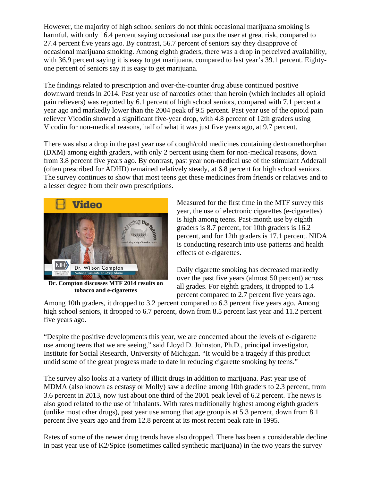However, the majority of high school seniors do not think occasional marijuana smoking is harmful, with only 16.4 percent saying occasional use puts the user at great risk, compared to 27.4 percent five years ago. By contrast, 56.7 percent of seniors say they disapprove of occasional marijuana smoking. Among eighth graders, there was a drop in perceived availability, with 36.9 percent saying it is easy to get marijuana, compared to last year's 39.1 percent. Eightyone percent of seniors say it is easy to get marijuana.

The findings related to prescription and over-the-counter drug abuse continued positive downward trends in 2014. Past year use of narcotics other than heroin (which includes all opioid pain relievers) was reported by 6.1 percent of high school seniors, compared with 7.1 percent a year ago and markedly lower than the 2004 peak of 9.5 percent. Past year use of the opioid pain reliever Vicodin showed a significant five-year drop, with 4.8 percent of 12th graders using Vicodin for non-medical reasons, half of what it was just five years ago, at 9.7 percent.

There was also a drop in the past year use of cough/cold medicines containing dextromethorphan (DXM) among eighth graders, with only 2 percent using them for non-medical reasons, down from 3.8 percent five years ago. By contrast, past year non-medical use of the stimulant Adderall (often prescribed for ADHD) remained relatively steady, at 6.8 percent for high school seniors. The survey continues to show that most teens get these medicines from friends or relatives and to a lesser degree from their own prescriptions.



**Dr. Compton discusses MTF 2014 results on tobacco and e-cigarettes** 

Measured for the first time in the MTF survey this year, the use of electronic cigarettes (e-cigarettes) is high among teens. Past-month use by eighth graders is 8.7 percent, for 10th graders is 16.2 percent, and for 12th graders is 17.1 percent. NIDA is conducting research into use patterns and health effects of e-cigarettes.

Daily cigarette smoking has decreased markedly over the past five years (almost 50 percent) across all grades. For eighth graders, it dropped to 1.4 percent compared to 2.7 percent five years ago.

Among 10th graders, it dropped to 3.2 percent compared to 6.3 percent five years ago. Among high school seniors, it dropped to 6.7 percent, down from 8.5 percent last year and 11.2 percent five years ago.

"Despite the positive developments this year, we are concerned about the levels of e-cigarette use among teens that we are seeing," said Lloyd D. Johnston, Ph.D., principal investigator, Institute for Social Research, University of Michigan. "It would be a tragedy if this product undid some of the great progress made to date in reducing cigarette smoking by teens."

The survey also looks at a variety of illicit drugs in addition to marijuana. Past year use of MDMA (also known as ecstasy or Molly) saw a decline among 10th graders to 2.3 percent, from 3.6 percent in 2013, now just about one third of the 2001 peak level of 6.2 percent. The news is also good related to the use of inhalants. With rates traditionally highest among eighth graders (unlike most other drugs), past year use among that age group is at 5.3 percent, down from 8.1 percent five years ago and from 12.8 percent at its most recent peak rate in 1995.

Rates of some of the newer drug trends have also dropped. There has been a considerable decline in past year use of K2/Spice (sometimes called synthetic marijuana) in the two years the survey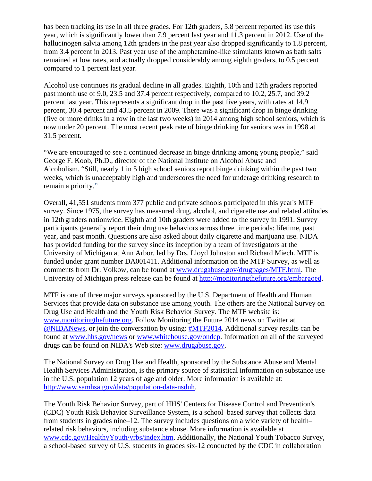has been tracking its use in all three grades. For 12th graders, 5.8 percent reported its use this year, which is significantly lower than 7.9 percent last year and 11.3 percent in 2012. Use of the hallucinogen salvia among 12th graders in the past year also dropped significantly to 1.8 percent, from 3.4 percent in 2013. Past year use of the amphetamine-like stimulants known as bath salts remained at low rates, and actually dropped considerably among eighth graders, to 0.5 percent compared to 1 percent last year.

Alcohol use continues its gradual decline in all grades. Eighth, 10th and 12th graders reported past month use of 9.0, 23.5 and 37.4 percent respectively, compared to 10.2, 25.7, and 39.2 percent last year. This represents a significant drop in the past five years, with rates at 14.9 percent, 30.4 percent and 43.5 percent in 2009. There was a significant drop in binge drinking (five or more drinks in a row in the last two weeks) in 2014 among high school seniors, which is now under 20 percent. The most recent peak rate of binge drinking for seniors was in 1998 at 31.5 percent.

"We are encouraged to see a continued decrease in binge drinking among young people," said George F. Koob, Ph.D., director of the National Institute on Alcohol Abuse and Alcoholism. "Still, nearly 1 in 5 high school seniors report binge drinking within the past two weeks, which is unacceptably high and underscores the need for underage drinking research to remain a priority."

Overall, 41,551 students from 377 public and private schools participated in this year's MTF survey. Since 1975, the survey has measured drug, alcohol, and cigarette use and related attitudes in 12th graders nationwide. Eighth and 10th graders were added to the survey in 1991. Survey participants generally report their drug use behaviors across three time periods: lifetime, past year, and past month. Questions are also asked about daily cigarette and marijuana use. NIDA has provided funding for the survey since its inception by a team of investigators at the University of Michigan at Ann Arbor, led by Drs. Lloyd Johnston and Richard Miech. MTF is funded under grant number DA001411. Additional information on the MTF Survey, as well as comments from Dr. Volkow, can be found at www.drugabuse.gov/drugpages/MTF.html. The University of Michigan press release can be found at http://monitoringthefuture.org/embargoed.

MTF is one of three major surveys sponsored by the U.S. Department of Health and Human Services that provide data on substance use among youth. The others are the National Survey on Drug Use and Health and the Youth Risk Behavior Survey. The MTF website is: www.monitoringthefuture.org. Follow Monitoring the Future 2014 news on Twitter at [@NIDANews](http://www.twitter.com/nidanews), or join the conversation by using: [#MTF2014](https://twitter.com/search?q=%23MTF2014&src=typd). Additional survey results can be found at www.hhs.gov/news or www.whitehouse.gov/ondcp. Information on all of the surveyed drugs can be found on NIDA's Web site: www.drugabuse.gov.

The National Survey on Drug Use and Health, sponsored by the Substance Abuse and Mental Health Services Administration, is the primary source of statistical information on substance use in the U.S. population 12 years of age and older. More information is available at: http://www.samhsa.gov/data/population-data-nsduh.

The Youth Risk Behavior Survey, part of HHS' Centers for Disease Control and Prevention's (CDC) Youth Risk Behavior Surveillance System, is a school–based survey that collects data from students in grades nine–12. The survey includes questions on a wide variety of health– related risk behaviors, including substance abuse. More information is available at www.cdc.gov/HealthyYouth/yrbs/index.htm. Additionally, the National Youth Tobacco Survey, a school-based survey of U.S. students in grades six-12 conducted by the CDC in collaboration